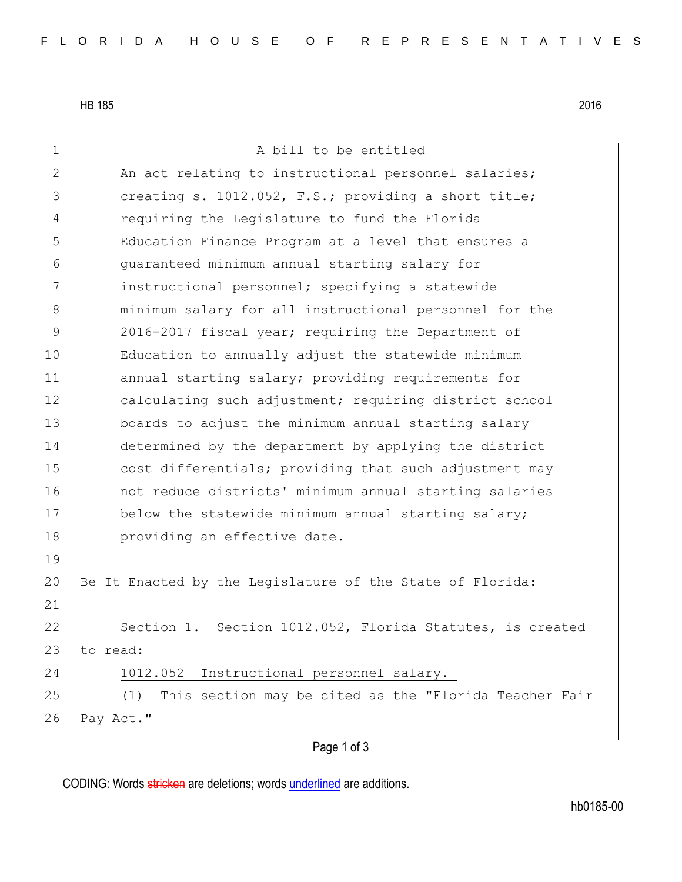HB 185 2016

| $\mathbf 1$   | A bill to be entitled                                         |
|---------------|---------------------------------------------------------------|
| $\mathbf{2}$  | An act relating to instructional personnel salaries;          |
| 3             | creating s. 1012.052, F.S.; providing a short title;          |
| 4             | requiring the Legislature to fund the Florida                 |
| 5             | Education Finance Program at a level that ensures a           |
| 6             | quaranteed minimum annual starting salary for                 |
| 7             | instructional personnel; specifying a statewide               |
| 8             | minimum salary for all instructional personnel for the        |
| $\mathcal{G}$ | 2016-2017 fiscal year; requiring the Department of            |
| 10            | Education to annually adjust the statewide minimum            |
| 11            | annual starting salary; providing requirements for            |
| 12            | calculating such adjustment; requiring district school        |
| 13            | boards to adjust the minimum annual starting salary           |
| 14            | determined by the department by applying the district         |
| 15            | cost differentials; providing that such adjustment may        |
| 16            | not reduce districts' minimum annual starting salaries        |
| 17            | below the statewide minimum annual starting salary;           |
| 18            | providing an effective date.                                  |
| 19            |                                                               |
| 20            | Be It Enacted by the Legislature of the State of Florida:     |
| 21            |                                                               |
| 22            | Section 1. Section 1012.052, Florida Statutes, is created     |
| 23            | to read:                                                      |
| 24            | 1012.052 Instructional personnel salary.-                     |
| 25            | This section may be cited as the "Florida Teacher Fair<br>(1) |
| 26            | Pay Act."                                                     |
|               |                                                               |

## Page 1 of 3

CODING: Words stricken are deletions; words underlined are additions.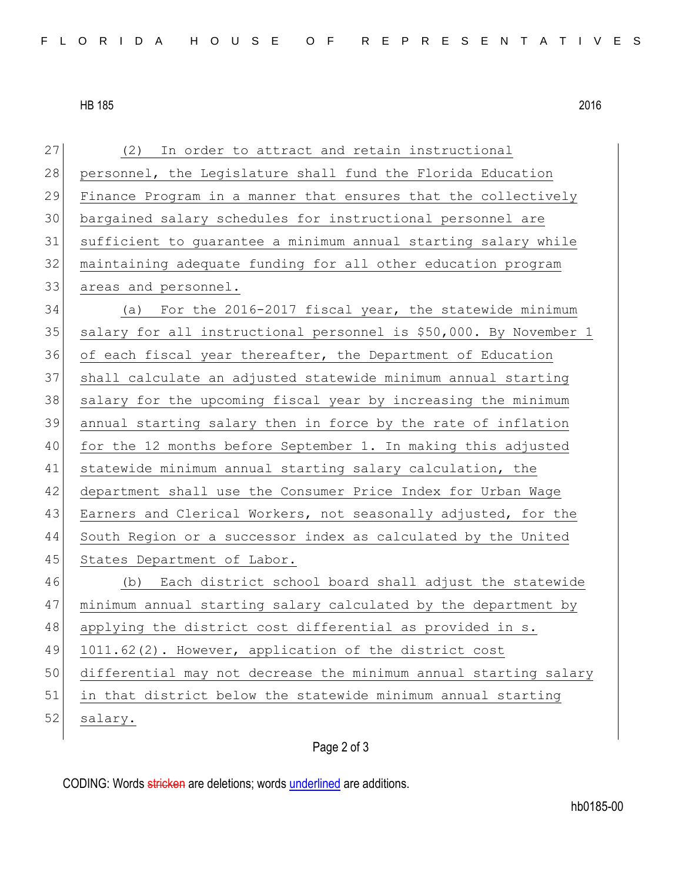## HB 185 2016

| 27 | In order to attract and retain instructional<br>(2)               |  |  |  |  |  |  |  |  |  |  |
|----|-------------------------------------------------------------------|--|--|--|--|--|--|--|--|--|--|
| 28 | personnel, the Legislature shall fund the Florida Education       |  |  |  |  |  |  |  |  |  |  |
| 29 | Finance Program in a manner that ensures that the collectively    |  |  |  |  |  |  |  |  |  |  |
| 30 | bargained salary schedules for instructional personnel are        |  |  |  |  |  |  |  |  |  |  |
| 31 | sufficient to guarantee a minimum annual starting salary while    |  |  |  |  |  |  |  |  |  |  |
| 32 | maintaining adequate funding for all other education program      |  |  |  |  |  |  |  |  |  |  |
| 33 | areas and personnel.                                              |  |  |  |  |  |  |  |  |  |  |
| 34 | (a) For the 2016-2017 fiscal year, the statewide minimum          |  |  |  |  |  |  |  |  |  |  |
| 35 | salary for all instructional personnel is \$50,000. By November 1 |  |  |  |  |  |  |  |  |  |  |
| 36 | of each fiscal year thereafter, the Department of Education       |  |  |  |  |  |  |  |  |  |  |
| 37 | shall calculate an adjusted statewide minimum annual starting     |  |  |  |  |  |  |  |  |  |  |
| 38 | salary for the upcoming fiscal year by increasing the minimum     |  |  |  |  |  |  |  |  |  |  |
| 39 | annual starting salary then in force by the rate of inflation     |  |  |  |  |  |  |  |  |  |  |
| 40 | for the 12 months before September 1. In making this adjusted     |  |  |  |  |  |  |  |  |  |  |
| 41 | statewide minimum annual starting salary calculation, the         |  |  |  |  |  |  |  |  |  |  |
| 42 | department shall use the Consumer Price Index for Urban Wage      |  |  |  |  |  |  |  |  |  |  |
| 43 | Earners and Clerical Workers, not seasonally adjusted, for the    |  |  |  |  |  |  |  |  |  |  |
| 44 | South Region or a successor index as calculated by the United     |  |  |  |  |  |  |  |  |  |  |
| 45 | States Department of Labor.                                       |  |  |  |  |  |  |  |  |  |  |
| 46 | (b) Each district school board shall adjust the statewide         |  |  |  |  |  |  |  |  |  |  |
| 47 | minimum annual starting salary calculated by the department by    |  |  |  |  |  |  |  |  |  |  |
| 48 | applying the district cost differential as provided in s.         |  |  |  |  |  |  |  |  |  |  |
| 49 | 1011.62(2). However, application of the district cost             |  |  |  |  |  |  |  |  |  |  |
| 50 | differential may not decrease the minimum annual starting salary  |  |  |  |  |  |  |  |  |  |  |
| 51 | in that district below the statewide minimum annual starting      |  |  |  |  |  |  |  |  |  |  |
| 52 | salary.                                                           |  |  |  |  |  |  |  |  |  |  |
|    |                                                                   |  |  |  |  |  |  |  |  |  |  |

## Page 2 of 3

CODING: Words stricken are deletions; words underlined are additions.